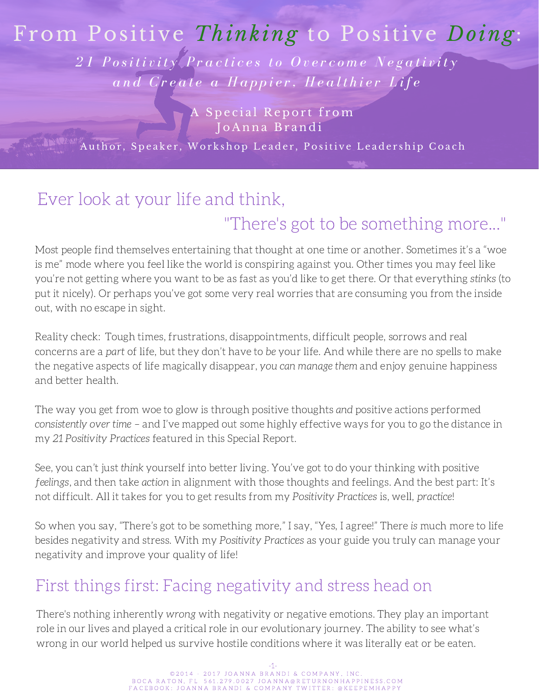## From Positive *Thinking* to Positive *Doing*:

21 Positivity Practices to Overcome Negativity and Create a Happier, Healthier Life

> A Special Report from-J o A nna B r and i

**Author, Speaker, Workshop Leader, Positive Leadership Coach** 

# Ever look at your life and think,

### "There's got to be something more..."

Most people find themselves entertaining that thought at one time or another. Sometimes it's a "woe is me" mode where you feel like the world is conspiring against you. Other times you may feel like you're not getting where you want to be as fast as you'd like to get there. Or that everything stinks (to put it nicely). Or perhaps you've got some very real worries that are consuming you from the inside out, with no escape in sight.

Reality check: Tough times, frustrations, disappointments, difficult people, sorrows and real concerns are a part of life, but they don't have to be your life. And while there are no spells to make the negative aspects of life magically disappear, you can manage them and enjoy genuine happiness and better health.

The way you get from woe to glow is through positive thoughts and positive actions performed consistently over time – and I've mapped out some highly effective ways for you to go the distance in my 21 Positivity Practices featured in this Special Report.

See, you can't just think yourself into better living. You've got to do your thinking with positive feelings, and then take action in alignment with those thoughts and feelings. And the best part: It's not difficult. All it takes for you to get results from my Positivity Practices is, well, practice!

So when you say, "There's got to be something more," I say, "Yes, I agree!" There is much more to life besides negativity and stress. With my Positivity Practices as your guide you truly can manage your negativity and improve your quality of life!

### First things first: Facing negativity and stress head on

There's nothing inherently wrong with negativity or negative emotions. They play an important role in our lives and played a critical role in our evolutionary journey. The ability to see what's wrong in our world helped us survive hostile conditions where it was literally eat or be eaten.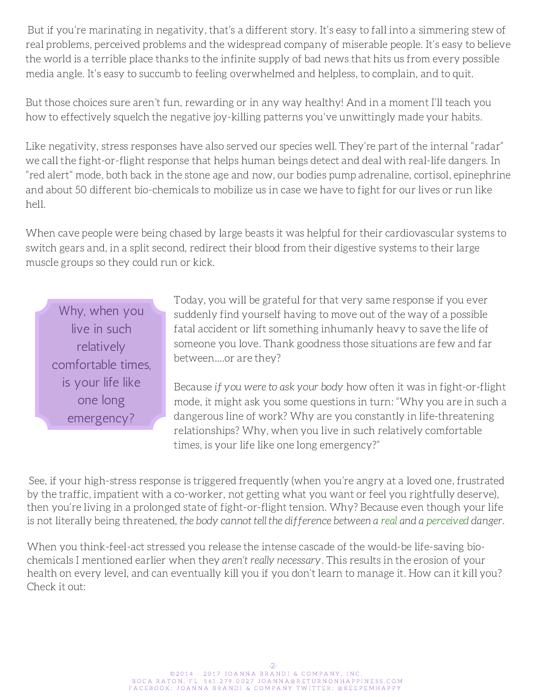But if you're marinating in negativity, that's a different story. It's easy to fall into a simmering stew of real problems, perceived problems and the widespread company of miserable people. It's easy to believe the world is a terrible place thanks to the infinite supply of bad news that hits us from every possible media angle. It's easy to succumb to feeling overwhelmed and helpless, to complain, and to quit.

But those choices sure aren't fun, rewarding or in any way healthy! And in a moment I'll teach you how to effectively squelch the negative joy-killing patterns you've unwittingly made your habits.

Like negativity, stress responses have also served our species well. They're part of the internal "radar" we call the fight-or-flight response that helps human beings detect and deal with real-life dangers. In "red alert" mode, both back in the stone age and now, our bodies pump adrenaline, cortisol, epinephrine and about 50 different bio-chemicals to mobilize us in case we have to fight for our lives or run like hell.

When cave people were being chased by large beasts it was helpful for their cardiovascular systems to switch gears and, in a split second, redirect their blood from their digestive systems to their large muscle groups so they could run or kick.

Why, when you live in such relatively comfortable times, is your life like one long emergency?

Today, you will be grateful for that very same response if you ever suddenly find yourself having to move out of the way of a possible fatal accident or lift something inhumanly heavy to save the life of someone you love. Thank goodness those situations are few and far between.…or are they?

Because if you were to ask your body how often it was in fight-or-flight mode, it might ask you some questions in turn: "Why you are in such a dangerous line of work? Why are you constantly in [life-threatening](http://phobias.about.com/od/glossary/g/fightorflight.htm) relationships? Why, when you live in such relatively comfortable times, is your life like one long emergency?"

See, if your high-stress response is triggered frequently (when you're angry at a loved one, frustrated by the traffic, impatient with a co-worker, not getting what you want or feel you rightfully deserve), then you're living in a prolonged state of [fight-or-flight](http://phobias.about.com/od/glossary/g/fightorflight.htm) tension. Why? Because even though your life is not literally being threatened, the body cannot tell the difference between a real and a perceived danger.

When you think-feel-act stressed you release the intense cascade of the would-be life-saving biochemicals I mentioned earlier when they aren't really necessary. This results in the erosion of your health on every level, and can eventually kill you if you don't learn to manage it. How can it kill you? Check it out: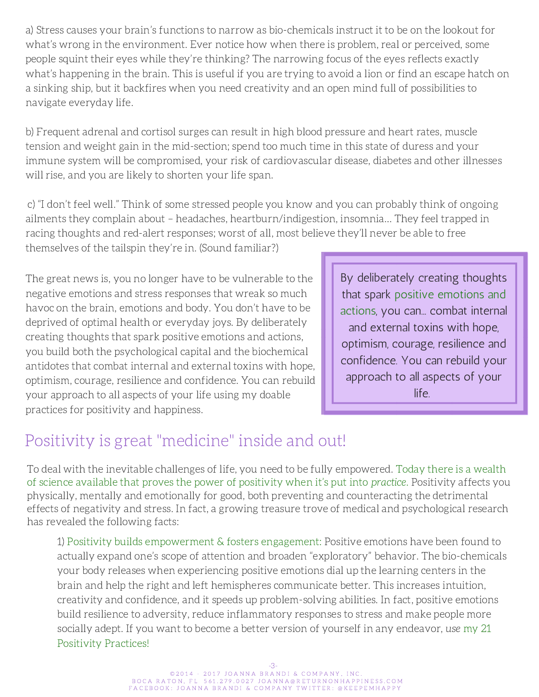a) Stress causes your brain's functions to narrow as bio-chemicals instruct it to be on the lookout for what's wrong in the environment. Ever notice how when there is problem, real or perceived, some people squint their eyes while they're thinking? The narrowing focus of the eyes reflects exactly what's happening in the brain. This is useful if you are trying to avoid a lion or find an escape hatch on a sinking ship, but it backfires when you need creativity and an open mind full of possibilities to navigate everyday life.

b) Frequent adrenal and cortisol surges can result in high blood pressure and heart rates, muscle tension and weight gain in the mid-section; spend too much time in this state of duress and your immune system will be compromised, your risk of cardiovascular disease, diabetes and other illnesses will rise, and you are likely to shorten your life span.

c) "I don't feel well." Think of some stressed people you know and you can probably think of ongoing ailments they complain about – headaches, heartburn/indigestion, insomnia… They feel trapped in racing thoughts and red-alert responses; worst of all, most believe they'll never be able to free themselves of the tailspin they're in. (Sound familiar?)

The great news is, you no longer have to be vulnerable to the negative emotions and stress responses that wreak so much havoc on the brain, emotions and body. You don't have to be deprived of optimal health or everyday joys. By deliberately creating thoughts that spark positive emotions and actions, you build both the psychological capital and the biochemical antidotes that combat internal and external toxins with hope, optimism, courage, resilience and confidence. You can rebuild your approach to all aspects of your life using my doable practices for positivity and happiness.

By deliberately creating thoughts that spark positive emotions and actions, you can... combat internal and external toxins with hope, optimism, courage, resilience and confidence. You can rebuild your approach to all aspects of your life.

### Positivity is great "medicine" inside and out!

To deal with the inevitable challenges of life, you need to be fully empowered. Today there is a wealth of science available that proves the power of positivity when it's put into practice. Positivity affects you physically, mentally and emotionally for good, both preventing and [counteracting](http://phobias.about.com/od/glossary/g/fightorflight.htm) the detrimental effects of negativity and stress. In fact, a growing treasure trove of medical and psychological research has revealed the following facts:

1) Positivity builds empowerment & fosters engagement: Positive emotions have been found to actually expand one's scope of attention and broaden "exploratory" behavior. The bio-chemicals your body releases when experiencing positive emotions dial up the learning centers in the brain and help the right and left hemispheres communicate better. This increases intuition, creativity and confidence, and it speeds up problem-solving abilities. In fact, positive emotions build resilience to adversity, reduce inflammatory responses to stress and make people more socially adept. If you want to become a better version of yourself in any endeavor, use my 21 Positivity Practices!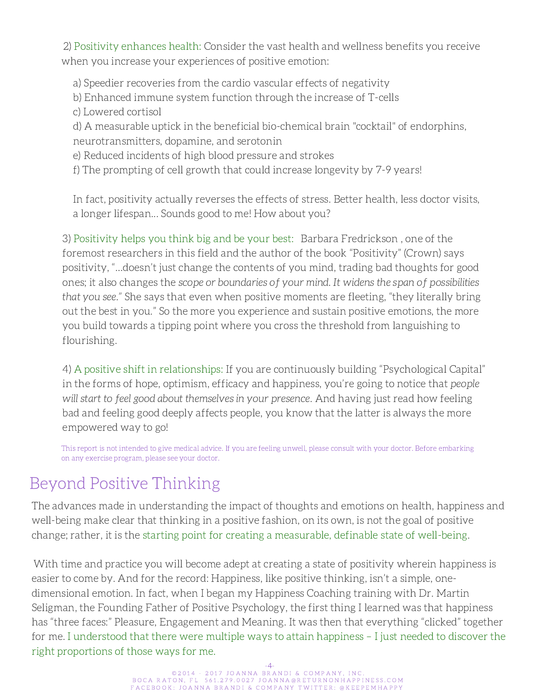2) Positivity enhances health: Consider the vast health and wellness benefits you receive when you increase your experiences of positive emotion:

a) Speedier recoveries from the cardio vascular effects of negativity

- b) Enhanced immune system function through the increase of T-cells
- c) Lowered cortisol

d) A measurable uptick in the beneficial bio-chemical brain "cocktail" of endorphins, neurotransmitters, dopamine, and serotonin

e) Reduced incidents of high blood pressure and strokes

f) The prompting of cell growth that could increase longevity by 7-9 years!

In fact, positivity actually reverses the effects of stress. Better health, less doctor visits, a longer lifespan... Sounds good to me! How about you?

3) Positivity helps you think big and be your best: Barbara Fredrickson , one of the foremost researchers in this field and the author of the book "Positivity" (Crown) says positivity, "…doesn't just change the contents of you mind, trading bad thoughts for good ones; it also changes the scope or boundaries of your mind. It widens the span of possibilities that you see." She says that even when positive moments are fleeting, "they literally bring out the best in you." So the more you experience and sustain positive emotions, the more you build towards a tipping point where you cross the threshold from languishing to flourishing.

4) A positive shift in relationships: If you are continuously building "Psychological Capital" in the forms of hope, optimism, efficacy and happiness, you're going to notice that people will start to feel good about themselves in your presence. And having just read how feeling bad and feeling good deeply affects people, you know that the latter is always the more empowered way to go!

This report is not intended to give medical advice. If you are feeling unwell, please consult with your doctor. Before embarking on any exercise program, please see your doctor.

## Beyond Positive Thinking

The advances made in understanding the impact of thoughts and emotions on health, happiness and well-being make clear that thinking in a positive fashion, on its own, is not the goal of positive change; rather, it is the starting point for creating a measurable, definable state of well-being.

With time and practice you will become adept at creating a state of positivity wherein happiness is easier to come by. And for the record: Happiness, like positive thinking, isn't a simple, onedimensional emotion. In fact, when I began my Happiness Coaching training with Dr. Martin Seligman, the Founding Father of Positive Psychology, the first thing I learned was that happiness has "three faces:" Pleasure, Engagement and Meaning. It was then that everything "clicked" together for me. I understood that there were multiple ways to attain happiness – I just needed to discover the right proportions of those ways for me.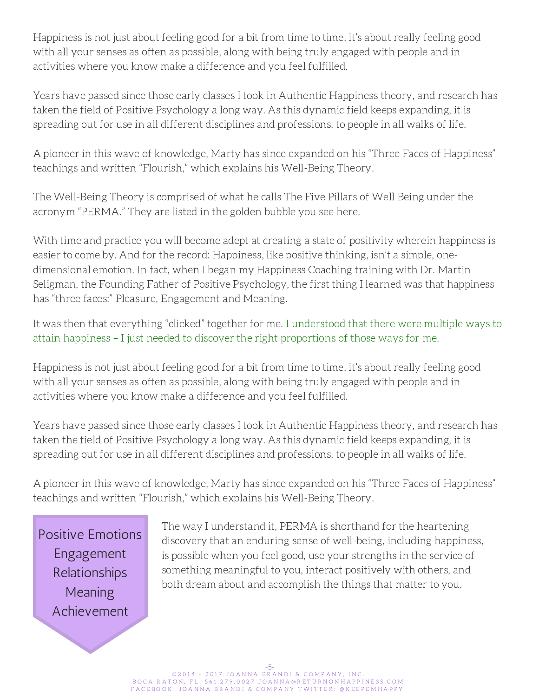Happiness is not just about feeling good for a bit from time to time, it's about really feeling good with all your senses as often as possible, along with being truly engaged with people and in activities where you know make a difference and you feel fulfilled.

Years have passed since those early classes I took in Authentic Happiness theory, and research has taken the field of Positive Psychology a long way. As this dynamic field keeps expanding, it is spreading out for use in all different disciplines and professions, to people in all walks of life.

A pioneer in this wave of knowledge, Marty has since expanded on his "Three Faces of Happiness" teachings and written "Flourish," which explains his Well-Being Theory.

The Well-Being Theory is comprised of what he calls The Five Pillars of Well Being under the acronym "PERMA." They are listed in the golden bubble you see here.

With time and practice you will become adept at creating a state of positivity wherein happiness is easier to come by. And for the record: Happiness, like positive thinking, isn't a simple, onedimensional emotion. In fact, when I began my Happiness Coaching training with Dr. Martin Seligman, the Founding Father of Positive Psychology, the first thing I learned was that happiness has "three faces:" Pleasure, Engagement and Meaning.

It was then that everything "clicked" together for me. I understood that there were multiple ways to attain happiness – I just needed to discover the right proportions of those ways for me.

Happiness is not just about feeling good for a bit from time to time, it's about really feeling good with all your senses as often as possible, along with being truly engaged with people and in activities where you know make a difference and you feel fulfilled.

Years have passed since those early classes I took in Authentic Happiness theory, and research has taken the field of Positive Psychology a long way. As this dynamic field keeps expanding, it is spreading out for use in all different disciplines and professions, to people in all walks of life.

A pioneer in this wave of knowledge, Marty has since expanded on his "Three Faces of Happiness" teachings and written "Flourish," which explains his Well-Being Theory.

Positive Emotions Engagement Relationships **Meaning** Achievement

The way I understand it, PERMA is shorthand for the heartening discovery that an enduring sense of well-being, including happiness, is possible when you feel good, use your strengths in the service of something meaningful to you, interact positively with others, and both dream about and accomplish the things that matter to you.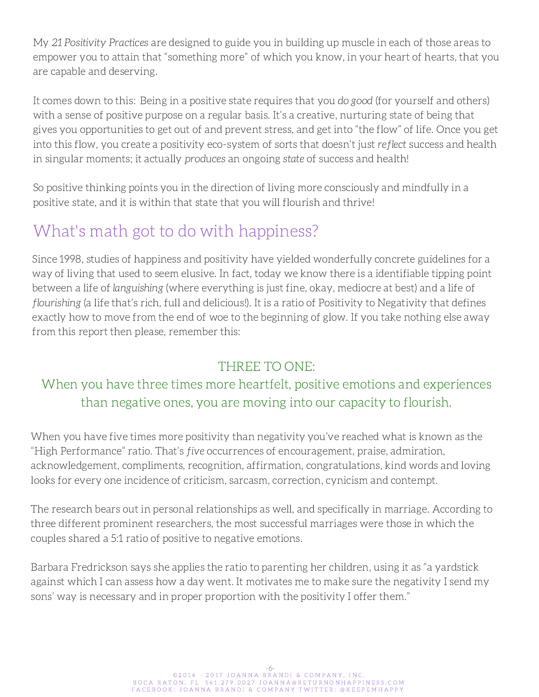My 21 Positivity Practices are designed to guide you in building up muscle in each of those areas to empower you to attain that "something more" of which you know, in your heart of hearts, that you are capable and deserving.

It comes down to this: Being in a positive state requires that you do good (for yourself and others) with a sense of positive purpose on a regular basis. It's a creative, nurturing state of being that gives you opportunities to get out of and prevent stress, and get into "the flow" of life. Once you get into this flow, you create a positivity eco-system of sorts that doesn't just reflect success and health in singular moments; it actually produces an ongoing state of success and health!

So positive thinking points you in the direction of living more consciously and mindfully in a positive state, and it is within that state that you will flourish and thrive!

### What's math got to do with happiness?

Since 1998, studies of happiness and positivity have yielded wonderfully concrete guidelines for a way of living that used to seem elusive. In fact, today we know there is a identifiable tipping point between a life of languishing (where everything is just fine, okay, mediocre at best) and a life of flourishing (a life that's rich, full and delicious!). It is a ratio of Positivity to Negativity that defines exactly how to move from the end of woe to the beginning of glow. If you take nothing else away from this report then please, remember this:

#### THREE TO ONE:

#### When you have three times more heartfelt, positive emotions and experiences than negative ones, you are moving into our capacity to flourish.

When you have five times more positivity than negativity you've reached what is known as the "High Performance" ratio. That's five occurrences of encouragement, praise, admiration, acknowledgement, compliments, recognition, affirmation, congratulations, kind words and loving looks for every one incidence of criticism, sarcasm, correction, cynicism and contempt.

The research bears out in personal relationships as well, and specifically in marriage. According to three different prominent researchers, the most successful marriages were those in which the couples shared a 5:1 ratio of positive to negative emotions.

Barbara Fredrickson says she applies the ratio to parenting her children, using it as "a yardstick against which I can assess how a day went. It motivates me to make sure the negativity I send my sons' way is necessary and in proper proportion with the positivity I offer them."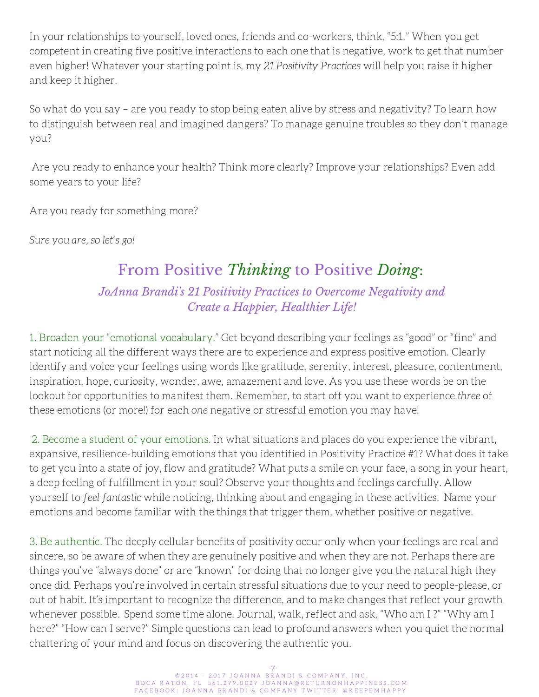In your relationships to yourself, loved ones, friends and co-workers, think, "5:1." When you get competent in creating five positive interactions to each one that is negative, work to get that number even higher! Whatever your starting point is, my 21 Positivity Practices will help you raise it higher and keep it higher.

So what do you say – are you ready to stop being eaten alive by stress and negativity? To learn how to distinguish between real and imagined dangers? To manage genuine troubles so they don't manage you?

Are you ready to enhance your health? Think more clearly? Improve your relationships? Even add some years to your life?

Are you ready for something more?

Sure you are, so let's go!

#### From Positive *Thinking* to Positive *Doing*: *JoAnna Brandi's 21 Positivity Practices to Overcome Negativity and Create a Happier, Healthier Life!*

1. Broaden your "emotional vocabulary." Get beyond describing your feelings as "good" or "fine" and start noticing all the different ways there are to experience and express positive emotion. Clearly identify and voice your feelings using words like gratitude, serenity, interest, pleasure, contentment, inspiration, hope, curiosity, wonder, awe, amazement and love. As you use these words be on the lookout for opportunities to manifest them. Remember, to start off you want to experience three of these emotions (or more!) for each one negative or stressful emotion you may have!

2. Become a student of your emotions. In what situations and places do you experience the vibrant, expansive, resilience-building emotions that you identified in Positivity Practice #1? What does it take to get you into a state of joy, flow and gratitude? What puts a smile on your face, a song in your heart, a deep feeling of fulfillment in your soul? Observe your thoughts and feelings carefully. Allow yourself to feel fantastic while noticing, thinking about and engaging in these activities. Name your emotions and become familiar with the things that trigger them, whether positive or negative.

3. Be authentic. The deeply cellular benefits of positivity occur only when your feelings are real and sincere, so be aware of when they are genuinely positive and when they are not. Perhaps there are things you've "always done" or are "known" for doing that no longer give you the natural high they once did. Perhaps you're involved in certain stressful situations due to your need to people-please, or out of habit. It's important to recognize the difference, and to make changes that reflect your growth whenever possible. Spend some time alone. Journal, walk, reflect and ask, "Who am I ?" "Why am I here?" "How can I serve?" Simple questions can lead to profound answers when you quiet the normal chattering of your mind and focus on discovering the authentic you.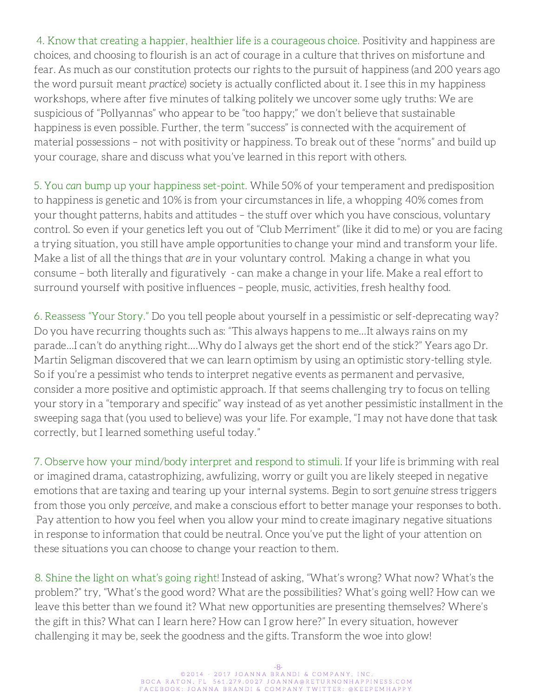4. Know that creating a happier, healthier life is a courageous choice. Positivity and happiness are choices, and choosing to flourish is an act of courage in a culture that thrives on misfortune and fear. As much as our constitution protects our rights to the pursuit of happiness (and 200 years ago the word pursuit meant practice) society is actually conflicted about it. I see this in my happiness workshops, where after five minutes of talking politely we uncover some ugly truths: We are suspicious of "Pollyannas" who appear to be "too happy;" we don't believe that sustainable happiness is even possible. Further, the term "success" is connected with the acquirement of material possessions – not with positivity or happiness. To break out of these "norms" and build up your courage, share and discuss what you've learned in this report with others.

5. You can bump up your happiness set-point. While 50% of your temperament and predisposition to happiness is genetic and 10% is from your circumstances in life, a whopping 40% comes from your thought patterns, habits and attitudes – the stuff over which you have conscious, voluntary control. So even if your genetics left you out of "Club Merriment" (like it did to me) or you are facing a trying situation, you still have ample opportunities to change your mind and transform your life. Make a list of all the things that are in your voluntary control. Making a change in what you consume – both literally and figuratively - can make a change in your life. Make a real effort to surround yourself with positive influences – people, music, activities, fresh healthy food.

6. Reassess "Your Story." Do you tell people about yourself in a pessimistic or self-deprecating way? Do you have recurring thoughts such as: "This always happens to me…It always rains on my parade…I can't do anything right….Why do I always get the short end of the stick?" Years ago Dr. Martin Seligman discovered that we can learn optimism by using an optimistic story-telling style. So if you're a pessimist who tends to interpret negative events as permanent and pervasive, consider a more positive and optimistic approach. If that seems challenging try to focus on telling your story in a "temporary and specific" way instead of as yet another pessimistic installment in the sweeping saga that (you used to believe) was your life. For example, "I may not have done that task correctly, but I learned something useful today."

7. Observe how your mind/body interpret and respond to stimuli. If your life is brimming with real or imagined drama, catastrophizing, awfulizing, worry or guilt you are likely steeped in negative emotions that are taxing and tearing up your internal systems. Begin to sort genuine stress triggers from those you only perceive, and make a conscious effort to better manage your responses to both. Pay attention to how you feel when you allow your mind to create imaginary negative situations in response to information that could be neutral. Once you've put the light of your attention on these situations you can choose to change your reaction to them.

8. Shine the light on what's going right! Instead of asking, "What's wrong? What now? What's the problem?" try, "What's the good word? What are the possibilities? What's going well? How can we leave this better than we found it? What new opportunities are presenting themselves? Where's the gift in this? What can I learn here? How can I grow here?" In every situation, however challenging it may be, seek the goodness and the gifts. Transform the woe into glow!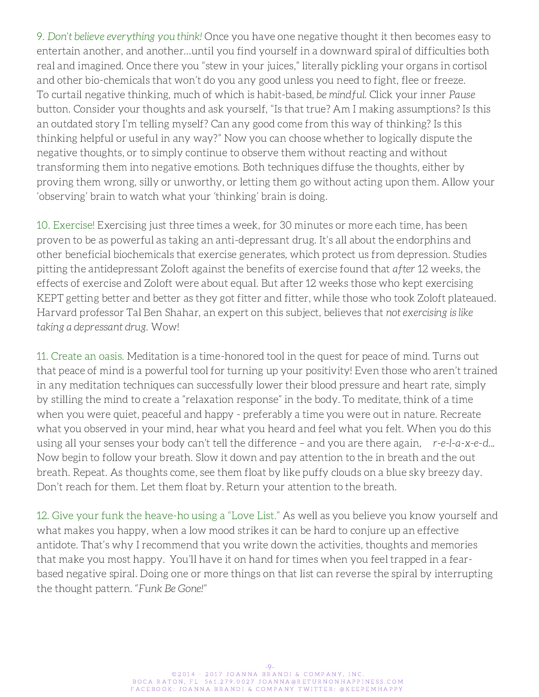9. Don't believe everything you think! Once you have one negative thought it then becomes easy to entertain another, and another…until you find yourself in a downward spiral of difficulties both real and imagined. Once there you "stew in your juices," literally pickling your organs in cortisol and other bio-chemicals that won't do you any good unless you need to fight, flee or freeze. To curtail negative thinking, much of which is habit-based, be mindful. Click your inner Pause button. Consider your thoughts and ask yourself, "Is that true? Am I making assumptions? Is this an outdated story I'm telling myself? Can any good come from this way of thinking? Is this thinking helpful or useful in any way?" Now you can choose whether to logically dispute the negative thoughts, or to simply continue to observe them without reacting and without transforming them into negative emotions. Both techniques diffuse the thoughts, either by proving them wrong, silly or unworthy, or letting them go without acting upon them. Allow your 'observing' brain to watch what your 'thinking' brain is doing.

10. Exercise! Exercising just three times a week, for 30 minutes or more each time, has been proven to be as powerful as taking an anti-depressant drug. It's all about the endorphins and other beneficial biochemicals that exercise generates, which protect us from depression. Studies pitting the antidepressant Zoloft against the benefits of exercise found that after 12 weeks, the effects of exercise and Zoloft were about equal. But after 12 weeks those who kept exercising KEPT getting better and better as they got fitter and fitter, while those who took Zoloft plateaued. Harvard professor Tal Ben Shahar, an expert on this subject, believes that not exercising is like taking a depressant drug. Wow!

11. Create an oasis. Meditation is a time-honored tool in the quest for peace of mind. Turns out that peace of mind is a powerful tool for turning up your positivity! Even those who aren't trained in any meditation techniques can successfully lower their blood pressure and heart rate, simply by stilling the mind to create a "relaxation response" in the body. To meditate, think of a time when you were quiet, peaceful and happy - preferably a time you were out in nature. Recreate what you observed in your mind, hear what you heard and feel what you felt. When you do this using all your senses your body can't tell the difference – and you are there again, r-e-l-a-x-e-d... Now begin to follow your breath. Slow it down and pay attention to the in breath and the out breath. Repeat. As thoughts come, see them float by like puffy clouds on a blue sky breezy day. Don't reach for them. Let them float by. Return your attention to the breath.

12. Give your funk the heave-ho using a "Love List." As well as you believe you know yourself and what makes you happy, when a low mood strikes it can be hard to conjure up an effective antidote. That's why I recommend that you write down the activities, thoughts and memories that make you most happy. You'll have it on hand for times when you feel trapped in a fearbased negative spiral. Doing one or more things on that list can reverse the spiral by interrupting the thought pattern. "Funk Be Gone!"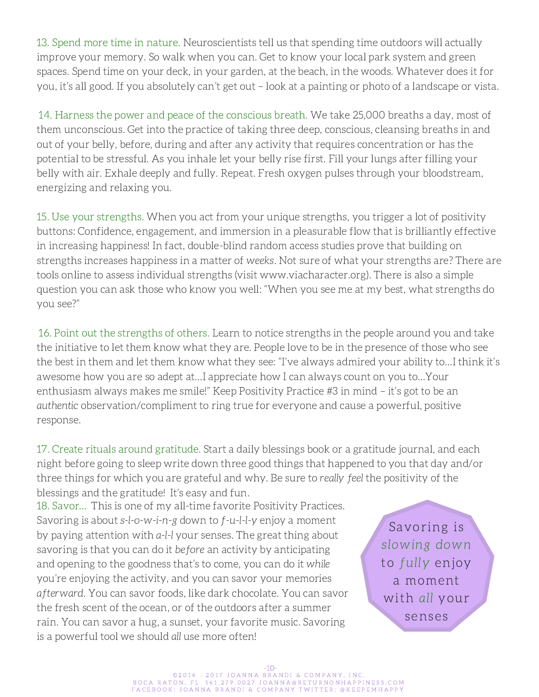13. Spend more time in nature. Neuroscientists tell us that spending time outdoors will actually improve your memory. So walk when you can. Get to know your local park system and green spaces. Spend time on your deck, in your garden, at the beach, in the woods. Whatever does it for you, it's all good. If you absolutely can't get out – look at a painting or photo of a landscape or vista.

14. Harness the power and peace of the conscious breath. We take 25,000 breaths a day, most of them unconscious. Get into the practice of taking three deep, conscious, cleansing breaths in and out of your belly, before, during and after any activity that requires concentration or has the potential to be stressful. As you inhale let your belly rise first. Fill your lungs after filling your belly with air. Exhale deeply and fully. Repeat. Fresh oxygen pulses through your bloodstream, energizing and relaxing you.

15. Use your strengths. When you act from your unique strengths, you trigger a lot of positivity buttons: Confidence, engagement, and immersion in a pleasurable flow that is brilliantly effective in increasing happiness! In fact, double-blind random access studies prove that building on strengths increases happiness in a matter of weeks. Not sure of what your strengths are? There are tools online to assess individual strengths (visit www.viacharacter.org). There is also a simple question you can ask those who know you well: "When you see me at my best, what strengths do you see?"

16. Point out the strengths of others. Learn to notice strengths in the people around you and take the initiative to let them know what they are. People love to be in the presence of those who see the best in them and let them know what they see: "I've always admired your ability to…I think it's awesome how you are so adept at…I appreciate how I can always count on you to…Your enthusiasm always makes me smile!" Keep Positivity Practice #3 in mind – it's got to be an authentic observation/compliment to ring true for everyone and cause a powerful, positive response.

17. Create rituals around gratitude. Start a daily blessings book or a gratitude journal, and each night before going to sleep write down three good things that happened to you that day and/or three things for which you are grateful and why. Be sure to really feel the positivity of the blessings and the gratitude! It's easy and fun.

18. Savor… This is one of my all-time favorite Positivity Practices. Savoring is about s-l-o-w-i-n-g down to f-u-l-l-y enjoy a moment by paying attention with a-l-l your senses. The great thing about savoring is that you can do it before an activity by anticipating and opening to the goodness that's to come, you can do it while you're enjoying the activity, and you can savor your memories afterward. You can savor foods, like dark chocolate. You can savor the fresh scent of the ocean, or of the outdoors after a summer rain. You can savor a hug, a sunset, your favorite music. Savoring is a powerful tool we should all use more often!

Savoring is slowing down to fully enjoy a moment with all your senses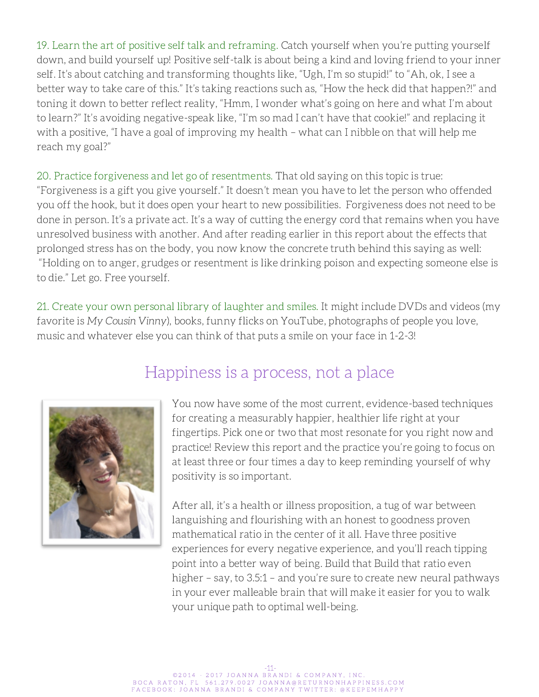19. Learn the art of positive self talk and reframing. Catch yourself when you're putting yourself down, and build yourself up! Positive self-talk is about being a kind and loving friend to your inner self. It's about catching and transforming thoughts like, "Ugh, I'm so stupid!" to "Ah, ok, I see a better way to take care of this." It's taking reactions such as, "How the heck did that happen?!" and toning it down to better reflect reality, "Hmm, I wonder what's going on here and what I'm about to learn?" It's avoiding negative-speak like, "I'm so mad I can't have that cookie!" and replacing it with a positive, "I have a goal of improving my health – what can I nibble on that will help me reach my goal?"

20. Practice forgiveness and let go of resentments. That old saying on this topic is true: "Forgiveness is a gift you give yourself." It doesn't mean you have to let the person who offended you off the hook, but it does open your heart to new possibilities. Forgiveness does not need to be done in person. It's a private act. It's a way of cutting the energy cord that remains when you have unresolved business with another. And after reading earlier in this report about the effects that prolonged stress has on the body, you now know the concrete truth behind this saying as well: "Holding on to anger, grudges or resentment is like drinking poison and expecting someone else is to die." Let go. Free yourself.

21. Create your own personal library of laughter and smiles. It might include DVDs and videos (my favorite is My Cousin Vinny), books, funny flicks on YouTube, photographs of people you love, music and whatever else you can think of that puts a smile on your face in 1-2-3!



### Happiness is a process, not a place

You now have some of the most current, evidence-based techniques for creating a measurably happier, healthier life right at your fingertips. Pick one or two that most resonate for you right now and practice! Review this report and the practice you're going to focus on at least three or four times a day to keep reminding yourself of why positivity is so important.

After all, it's a health or illness proposition, a tug of war between languishing and flourishing with an honest to goodness proven mathematical ratio in the center of it all. Have three positive experiences for every negative experience, and you'll reach tipping point into a better way of being. Build that Build that ratio even higher – say, to 3.5:1 – and you're sure to create new neural pathways in your ever malleable brain that will make it easier for you to walk your unique path to optimal well-being.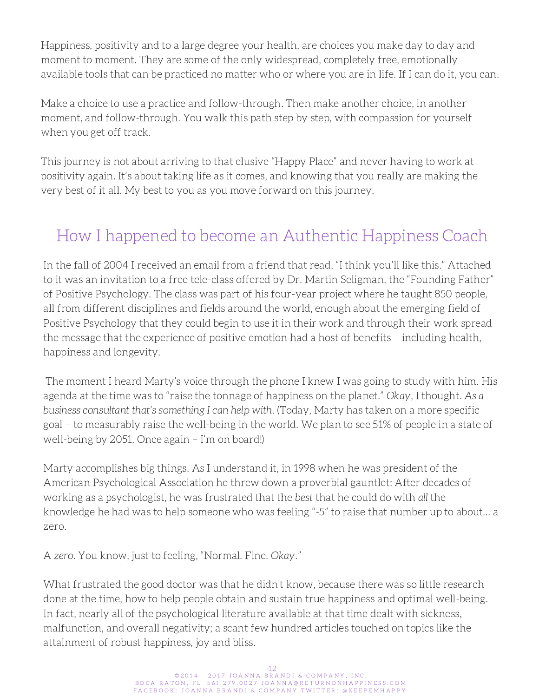Happiness, positivity and to a large degree your health, are choices you make day to day and moment to moment. They are some of the only widespread, completely free, emotionally available tools that can be practiced no matter who or where you are in life. If I can do it, you can.

Make a choice to use a practice and follow-through. Then make another choice, in another moment, and follow-through. You walk this path step by step, with compassion for yourself when you get off track.

This journey is not about arriving to that elusive "Happy Place" and never having to work at positivity again. It's about taking life as it comes, and knowing that you really are making the very best of it all. My best to you as you move forward on this journey.

### How I happened to become an Authentic Happiness Coach

In the fall of 2004 I received an email from a friend that read, "I think you'll like this." Attached to it was an invitation to a free tele-class offered by Dr. Martin Seligman, the "Founding Father" of Positive Psychology. The class was part of his four-year project where he taught 850 people, all from different disciplines and fields around the world, enough about the emerging field of Positive Psychology that they could begin to use it in their work and through their work spread the message that the experience of positive emotion had a host of benefits – including health, happiness and longevity.

The moment I heard Marty's voice through the phone I knew I was going to study with him. His agenda at the time was to "raise the tonnage of happiness on the planet." Okay, I thought. As a business consultant that's something I can help with. (Today, Marty has taken on a more specific goal – to measurably raise the well-being in the world. We plan to see 51% of people in a state of well-being by 2051. Once again – I'm on board!)

Marty accomplishes big things. As I understand it, in 1998 when he was president of the American Psychological Association he threw down a proverbial gauntlet: After decades of working as a psychologist, he was frustrated that the best that he could do with all the knowledge he had was to help someone who was feeling "-5" to raise that number up to about… a zero.

A zero. You know, just to feeling, "Normal. Fine. Okay."

What frustrated the good doctor was that he didn't know, because there was so little research done at the time, how to help people obtain and sustain true happiness and optimal well-being. In fact, nearly all of the psychological literature available at that time dealt with sickness, malfunction, and overall negativity; a scant few hundred articles touched on topics like the attainment of robust happiness, joy and bliss.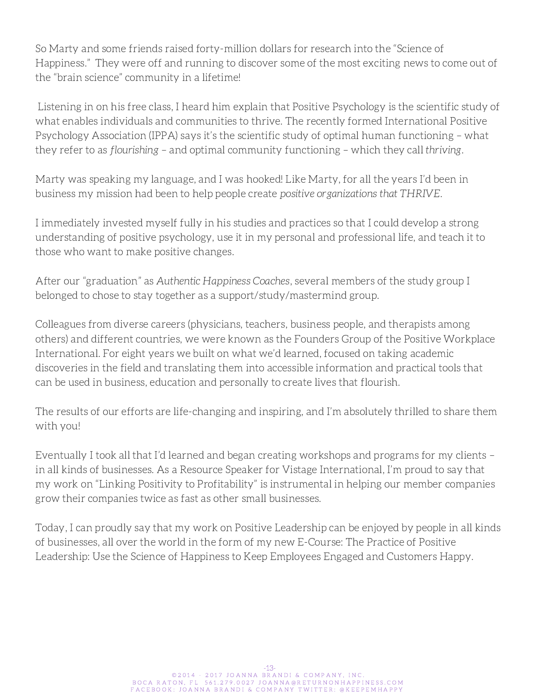So Marty and some friends raised forty-million dollars for research into the "Science of Happiness." They were off and running to discover some of the most exciting news to come out of the "brain science" community in a lifetime!

Listening in on his free class, I heard him explain that Positive Psychology is the scientific study of what enables individuals and communities to thrive. The recently formed International Positive Psychology Association (IPPA) says it's the scientific study of optimal human functioning – what they refer to as flourishing – and optimal community functioning – which they call thriving.

Marty was speaking my language, and I was hooked! Like Marty, for all the years I'd been in business my mission had been to help people create positive organizations that THRIVE.

I immediately invested myself fully in his studies and practices so that I could develop a strong understanding of positive psychology, use it in my personal and professional life, and teach it to those who want to make positive changes.

After our "graduation" as Authentic Happiness Coaches, several members of the study group I belonged to chose to stay together as a support/study/mastermind group.

Colleagues from diverse careers (physicians, teachers, business people, and therapists among others) and different countries, we were known as the Founders Group of the Positive Workplace International. For eight years we built on what we'd learned, focused on taking academic discoveries in the field and translating them into accessible information and practical tools that can be used in business, education and personally to create lives that flourish.

The results of our efforts are life-changing and inspiring, and I'm absolutely thrilled to share them with you!

Eventually I took all that I'd learned and began creating workshops and programs for my clients – in all kinds of businesses. As a Resource Speaker for Vistage International, I'm proud to say that my work on "Linking Positivity to Profitability" is instrumental in helping our member companies grow their companies twice as fast as other small businesses.

Today, I can proudly say that my work on Positive Leadership can be enjoyed by people in all kinds of businesses, all over the world in the form of my new E-Course: The Practice of Positive Leadership: Use the Science of Happiness to Keep Employees Engaged and Customers Happy.